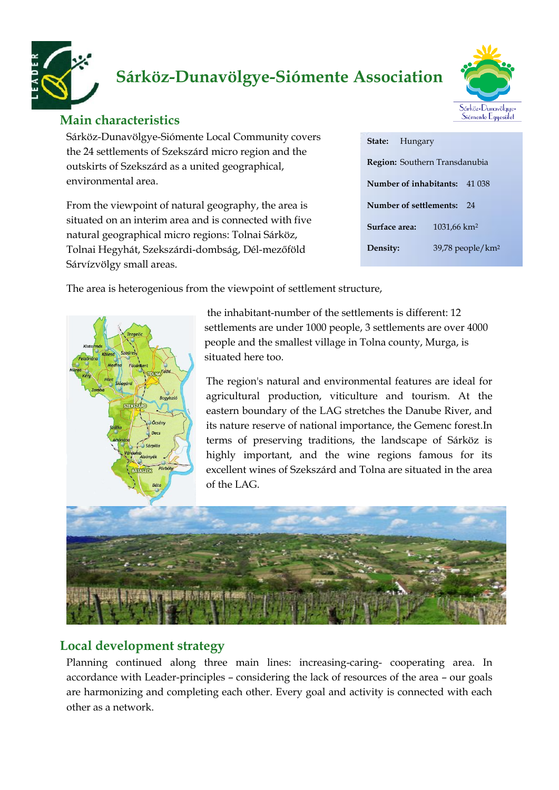

# **Sárköz-Dunavölgye-Siómente Association**



# **Main characteristics**

Sárköz-Dunavölgye-Siómente Local Community covers the 24 settlements of Szekszárd micro region and the outskirts of Szekszárd as a united geographical, environmental area.

From the viewpoint of natural geography, the area is situated on an interim area and is connected with five natural geographical micro regions: Tolnai Sárköz, Tolnai Hegyhát, Szekszárdi-dombság, Dél-mezőföld Sárvízvölgy small areas.

|                              | <b>State:</b> Hungary |                                      |        |
|------------------------------|-----------------------|--------------------------------------|--------|
|                              |                       | <b>Region:</b> Southern Transdanubia |        |
|                              |                       | Number of inhabitants:               | 41 038 |
| Number of settlements:<br>24 |                       |                                      |        |
|                              | Surface area:         | 1031,66 km <sup>2</sup>              |        |
| Density:                     |                       | 39,78 people/km <sup>2</sup>         |        |

The area is heterogenious from the viewpoint of settlement structure,



the inhabitant-number of the settlements is different: 12 settlements are under 1000 people, 3 settlements are over 4000 people and the smallest village in Tolna county, Murga, is situated here too.

The region's natural and environmental features are ideal for agricultural production, viticulture and tourism. At the eastern boundary of the LAG stretches the Danube River, and its nature reserve of national importance, the Gemenc forest.In terms of preserving traditions, the landscape of Sárköz is highly important, and the wine regions famous for its excellent wines of Szekszárd and Tolna are situated in the area of the LAG.



# **Local development strategy**

Planning continued along three main lines: increasing-caring- cooperating area. In accordance with Leader-principles – considering the lack of resources of the area – our goals are harmonizing and completing each other. Every goal and activity is connected with each other as a network.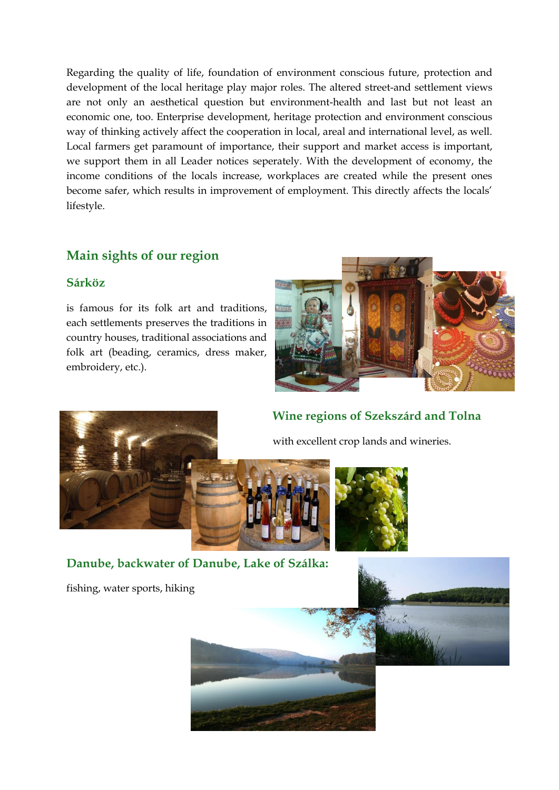Regarding the quality of life, foundation of environment conscious future, protection and development of the local heritage play major roles. The altered street-and settlement views are not only an aesthetical question but environment-health and last but not least an economic one, too. Enterprise development, heritage protection and environment conscious way of thinking actively affect the cooperation in local, areal and international level, as well. Local farmers get paramount of importance, their support and market access is important, we support them in all Leader notices seperately. With the development of economy, the income conditions of the locals increase, workplaces are created while the present ones become safer, which results in improvement of employment. This directly affects the locals' lifestyle.

# **Main sights of our region**

#### **Sárköz**

is famous for its folk art and traditions, each settlements preserves the traditions in country houses, traditional associations and folk art (beading, ceramics, dress maker, embroidery, etc.).







with excellent crop lands and wineries.



**Danube, backwater of Danube, Lake of Szálka:**

fishing, water sports, hiking